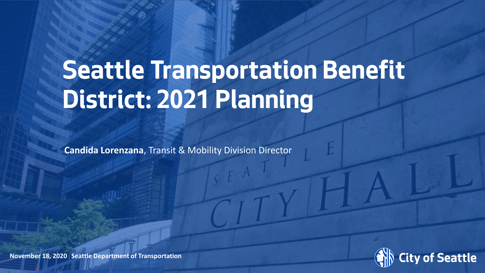# **Seattle Transportation Benefit District: 2021 Planning**

**Candida Lorenzana**, Transit & Mobility Division Director



**November 18, 2020 Seattle Department of Transportation**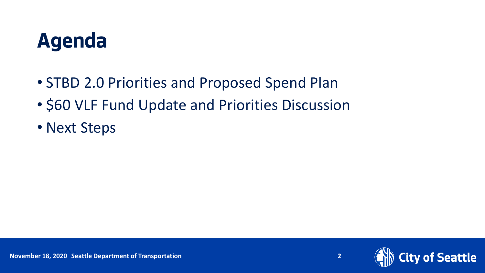## **Agenda**

- STBD 2.0 Priorities and Proposed Spend Plan
- \$60 VLF Fund Update and Priorities Discussion
- Next Steps

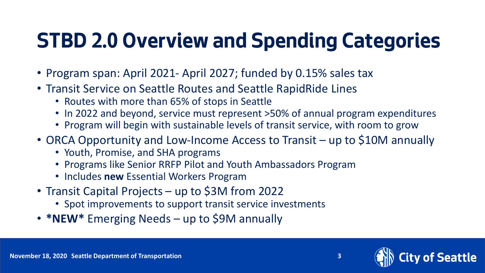## **STBD 2.0 Overview and Spending Categories**

- Program span: April 2021- April 2027; funded by 0.15% sales tax
- Transit Service on Seattle Routes and Seattle RapidRide Lines
	- Routes with more than 65% of stops in Seattle
	- In 2022 and beyond, service must represent >50% of annual program expenditures
	- Program will begin with sustainable levels of transit service, with room to grow
- ORCA Opportunity and Low-Income Access to Transit up to \$10M annually
	- Youth, Promise, and SHA programs
	- Programs like Senior RRFP Pilot and Youth Ambassadors Program
	- Includes **new** Essential Workers Program
- Transit Capital Projects up to \$3M from 2022
	- Spot improvements to support transit service investments
- **\*NEW\*** Emerging Needs up to \$9M annually

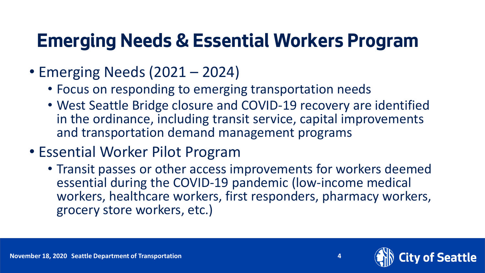### **Emerging Needs & Essential Workers Program**

- Emerging Needs (2021 2024)
	- Focus on responding to emerging transportation needs
	- West Seattle Bridge closure and COVID-19 recovery are identified in the ordinance, including transit service, capital improvements and transportation demand management programs
- Essential Worker Pilot Program
	- Transit passes or other access improvements for workers deemed essential during the COVID-19 pandemic (low-income medical workers, healthcare workers, first responders, pharmacy workers, grocery store workers, etc.)

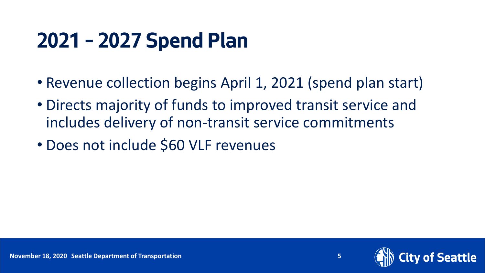## **2021 – 2027 Spend Plan**

- Revenue collection begins April 1, 2021 (spend plan start)
- Directs majority of funds to improved transit service and includes delivery of non-transit service commitments
- Does not include \$60 VLF revenues

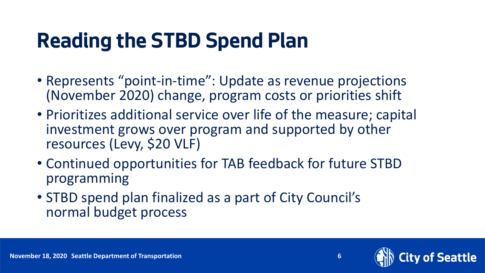## **Reading the STBD Spend Plan**

- Represents "point-in-time": Update as revenue projections (November 2020) change, program costs or priorities shift
- Prioritizes additional service over life of the measure; capital investment grows over program and supported by other resources (Levy, \$20 VLF)
- Continued opportunities for TAB feedback for future STBD programming
- STBD spend plan finalized as a part of City Council's normal budget process



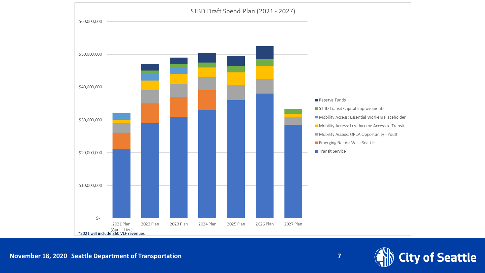



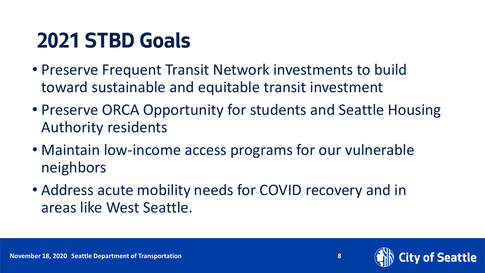## **2021 STBD Goals**

- Preserve Frequent Transit Network investments to build toward sustainable and equitable transit investment
- Preserve ORCA Opportunity for students and Seattle Housing Authority residents
- Maintain low-income access programs for our vulnerable neighbors
- Address acute mobility needs for COVID recovery and in areas like West Seattle.



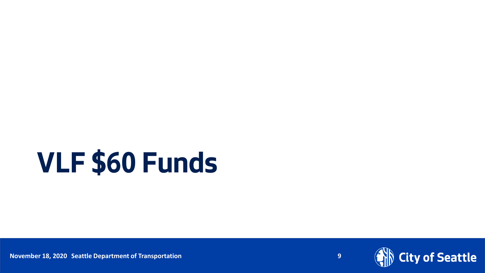# **VLF \$60 Funds**

**Date (xx/ Xx/ Xx/ November 18, 2020** Seattle Department of Transportation Page Number 2012 Page Number 18, 2020 Seattle Department of Transportation

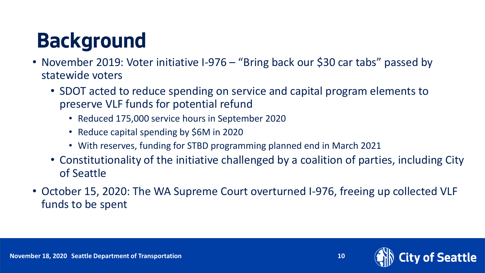## **Background**

- November 2019: Voter initiative I-976 "Bring back our \$30 car tabs" passed by statewide voters
	- SDOT acted to reduce spending on service and capital program elements to preserve VLF funds for potential refund
		- Reduced 175,000 service hours in September 2020
		- Reduce capital spending by \$6M in 2020
		- With reserves, funding for STBD programming planned end in March 2021
	- Constitutionality of the initiative challenged by a coalition of parties, including City of Seattle
- October 15, 2020: The WA Supreme Court overturned I-976, freeing up collected VLF funds to be spent

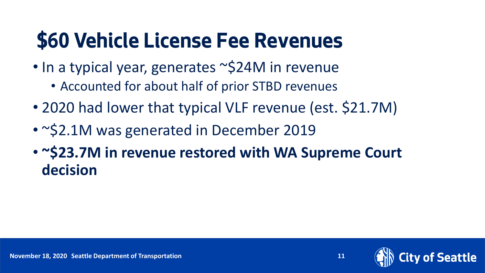## **\$60 Vehicle License Fee Revenues**

- In a typical year, generates ~\$24M in revenue
	- Accounted for about half of prior STBD revenues
- 2020 had lower that typical VLF revenue (est. \$21.7M)
- ~\$2.1M was generated in December 2019
- **~\$23.7M in revenue restored with WA Supreme Court decision**

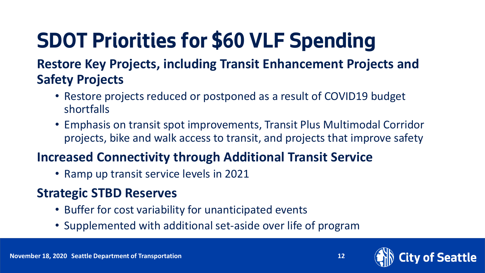## **SDOT Priorities for \$60 VLF Spending**

#### **Restore Key Projects, including Transit Enhancement Projects and Safety Projects**

- Restore projects reduced or postponed as a result of COVID19 budget shortfalls
- Emphasis on transit spot improvements, Transit Plus Multimodal Corridor projects, bike and walk access to transit, and projects that improve safety

### **Increased Connectivity through Additional Transit Service**

• Ramp up transit service levels in 2021

### **Strategic STBD Reserves**

- Buffer for cost variability for unanticipated events
- Supplemented with additional set-aside over life of program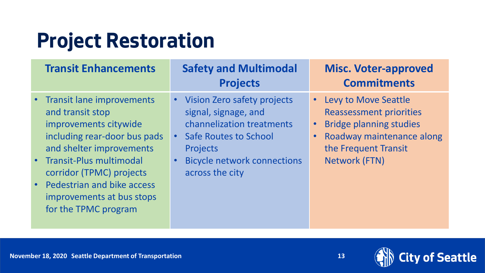## **Project Restoration**

| <b>Transit Enhancements</b>                                                                                                                                                                                                                                                        | <b>Safety and Multimodal</b><br><b>Projects</b>                                                                                                                                                | <b>Misc. Voter-approved</b><br><b>Commitments</b>                                                                                                                     |
|------------------------------------------------------------------------------------------------------------------------------------------------------------------------------------------------------------------------------------------------------------------------------------|------------------------------------------------------------------------------------------------------------------------------------------------------------------------------------------------|-----------------------------------------------------------------------------------------------------------------------------------------------------------------------|
| • Transit lane improvements<br>and transit stop<br>improvements citywide<br>including rear-door bus pads<br>and shelter improvements<br>• Transit-Plus multimodal<br>corridor (TPMC) projects<br>• Pedestrian and bike access<br>improvements at bus stops<br>for the TPMC program | • Vision Zero safety projects<br>signal, signage, and<br>channelization treatments<br><b>Safe Routes to School</b><br><b>Projects</b><br><b>Bicycle network connections</b><br>across the city | <b>Levy to Move Seattle</b><br><b>Reassessment priorities</b><br><b>Bridge planning studies</b><br>Roadway maintenance along<br>the Frequent Transit<br>Network (FTN) |

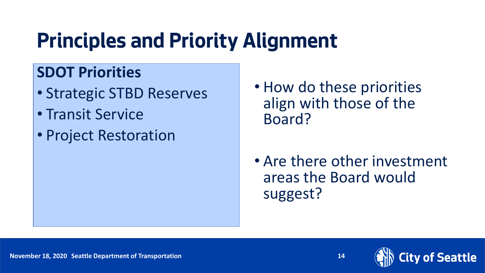## **Principles and Priority Alignment**

### **SDOT Priorities**

- Strategic STBD Reserves
- Transit Service
- Project Restoration
- How do these priorities align with those of the Board?
- Are there other investment areas the Board would suggest?

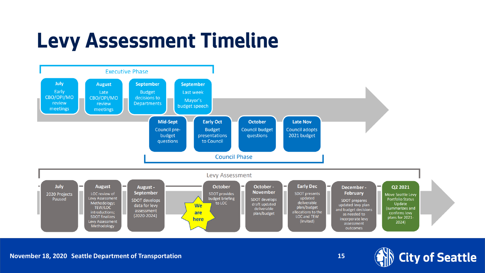## **Levy Assessment Timeline**



Date (xx/xx/ **November 18, 2020** xxxx) Department Name **Seattle Department of Transportation** Page Number **15**

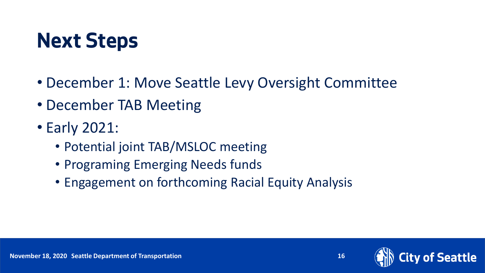## **Next Steps**

- December 1: Move Seattle Levy Oversight Committee
- December TAB Meeting
- Early 2021:
	- Potential joint TAB/MSLOC meeting
	- Programing Emerging Needs funds
	- Engagement on forthcoming Racial Equity Analysis